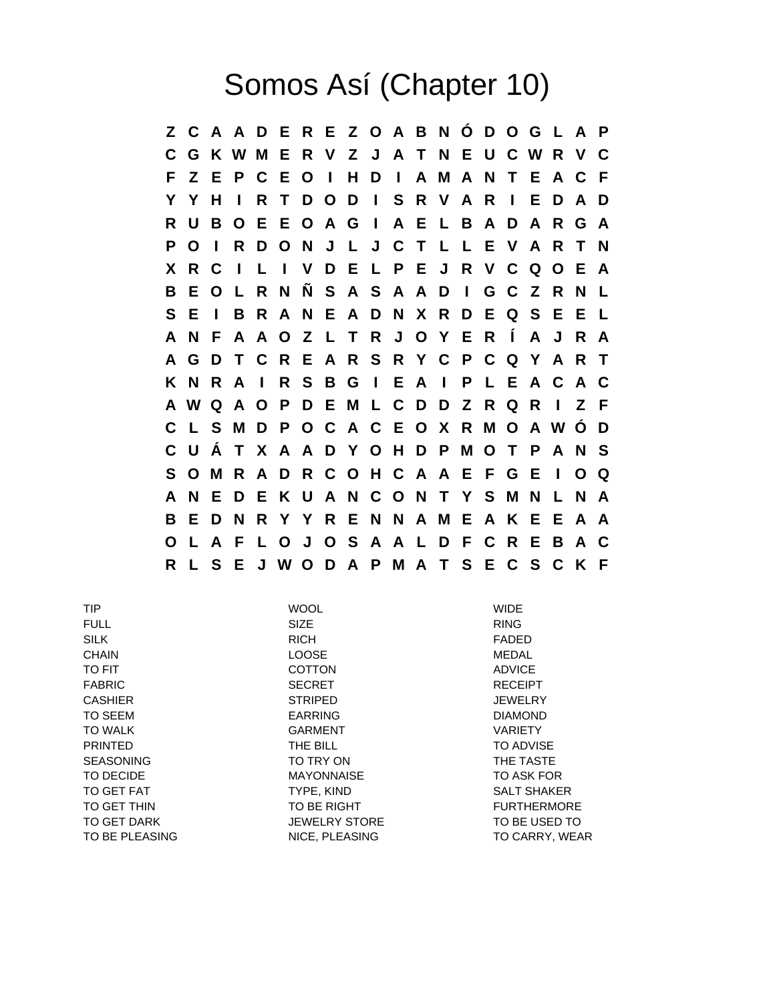## Somos Así (Chapter 10)

**Z C A A D E R E Z O A B N Ó D O G L A P C G K W M E R V Z J A T N E U C W R V C F Z E P C E O I H D I A M A N T E A C F Y Y H I R T D O D I S R V A R I E D A D R U B O E E O A G I A E L B A D A R G A P O I R D O N J L J C T L L E V A R T N X R C I L I V D E L P E J R V C Q O E A B E O L R N Ñ S A S A A D I G C Z R N L S E I B R A N E A D N X R D E Q S E E L A N F A A O Z L T R J O Y E R Í A J R A A G D T C R E A R S R Y C P C Q Y A R T K N R A I R S B G I E A I P L E A C A C A W Q A O P D E M L C D D Z R Q R I Z F C L S M D P O C A C E O X R M O A W Ó D C U Á T X A A D Y O H D P M O T P A N S S O M R A D R C O H C A A E F G E I O Q A N E D E K U A N C O N T Y S M N L N A B E D N R Y Y R E N N A M E A K E E A A O L A F L O J O S A A L D F C R E B A C R L S E J W O D A P M A T S E C S C K F**

| <b>TIP</b>       | <b>WOOL</b>          | <b>WIDE</b>        |
|------------------|----------------------|--------------------|
| <b>FULL</b>      | <b>SIZE</b>          | <b>RING</b>        |
| <b>SILK</b>      | <b>RICH</b>          | FADED              |
| <b>CHAIN</b>     | <b>LOOSE</b>         | <b>MEDAL</b>       |
| TO FIT           | <b>COTTON</b>        | <b>ADVICE</b>      |
| <b>FABRIC</b>    | <b>SECRET</b>        | <b>RECEIPT</b>     |
| <b>CASHIER</b>   | <b>STRIPED</b>       | <b>JEWELRY</b>     |
| <b>TO SEEM</b>   | <b>EARRING</b>       | <b>DIAMOND</b>     |
| <b>TO WALK</b>   | <b>GARMENT</b>       | <b>VARIETY</b>     |
| <b>PRINTED</b>   | THE BILL             | <b>TO ADVISE</b>   |
| <b>SEASONING</b> | TO TRY ON            | THE TASTE          |
| TO DECIDE        | <b>MAYONNAISE</b>    | TO ASK FOR         |
| TO GET FAT       | TYPE, KIND           | <b>SALT SHAKER</b> |
| TO GET THIN      | TO BE RIGHT          | <b>FURTHERMORE</b> |
| TO GET DARK      | <b>JEWELRY STORE</b> | TO BE USED TO      |
| TO BE PLEASING   | NICE, PLEASING       | TO CARRY, WEAR     |